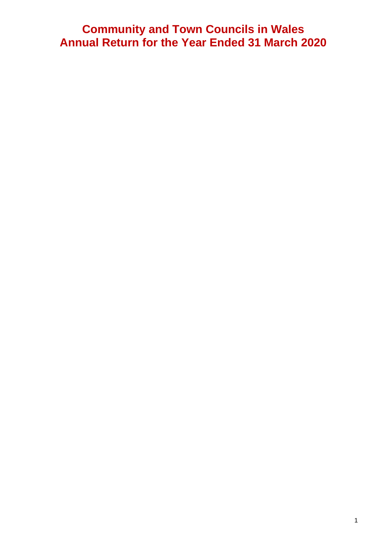## **Community and Town Councils in Wales Annual Return for the Year Ended 31 March 2020**